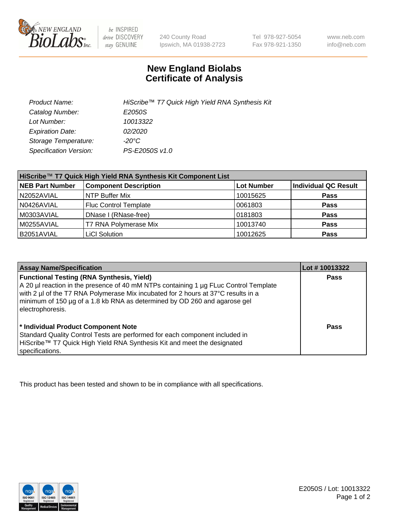

be INSPIRED drive DISCOVERY stay GENUINE

240 County Road Ipswich, MA 01938-2723 Tel 978-927-5054 Fax 978-921-1350

www.neb.com info@neb.com

## **New England Biolabs Certificate of Analysis**

| Product Name:           | HiScribe™ T7 Quick High Yield RNA Synthesis Kit |
|-------------------------|-------------------------------------------------|
| Catalog Number:         | E2050S                                          |
| Lot Number:             | 10013322                                        |
| <b>Expiration Date:</b> | 02/2020                                         |
| Storage Temperature:    | -20°C                                           |
| Specification Version:  | PS-E2050S v1.0                                  |

| HiScribe™ T7 Quick High Yield RNA Synthesis Kit Component List |                              |                   |                             |  |
|----------------------------------------------------------------|------------------------------|-------------------|-----------------------------|--|
| <b>NEB Part Number</b>                                         | <b>Component Description</b> | <b>Lot Number</b> | <b>Individual QC Result</b> |  |
| N2052AVIAL                                                     | NTP Buffer Mix               | 10015625          | <b>Pass</b>                 |  |
| N0426AVIAL                                                     | <b>Fluc Control Template</b> | 0061803           | <b>Pass</b>                 |  |
| M0303AVIAL                                                     | DNase I (RNase-free)         | 0181803           | <b>Pass</b>                 |  |
| M0255AVIAL                                                     | T7 RNA Polymerase Mix        | 10013740          | <b>Pass</b>                 |  |
| B2051AVIAL                                                     | <b>LiCI Solution</b>         | 10012625          | <b>Pass</b>                 |  |

| <b>Assay Name/Specification</b>                                                                                                                                                                                                                                                                                                | Lot # 10013322 |
|--------------------------------------------------------------------------------------------------------------------------------------------------------------------------------------------------------------------------------------------------------------------------------------------------------------------------------|----------------|
| <b>Functional Testing (RNA Synthesis, Yield)</b><br>A 20 µl reaction in the presence of 40 mM NTPs containing 1 µg FLuc Control Template<br>with 2 µl of the T7 RNA Polymerase Mix incubated for 2 hours at 37°C results in a<br>minimum of 150 µg of a 1.8 kb RNA as determined by OD 260 and agarose gel<br>electrophoresis. | <b>Pass</b>    |
| * Individual Product Component Note<br>Standard Quality Control Tests are performed for each component included in<br>HiScribe™ T7 Quick High Yield RNA Synthesis Kit and meet the designated<br>specifications.                                                                                                               | Pass           |

This product has been tested and shown to be in compliance with all specifications.